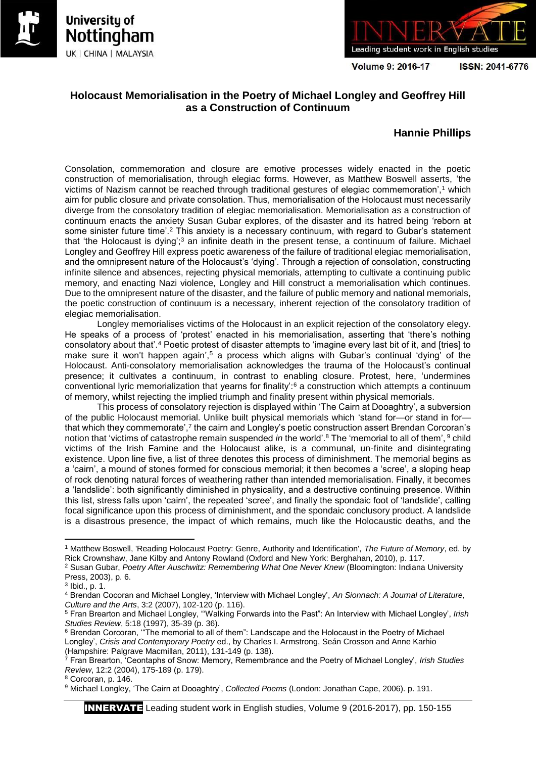





Volume 9: 2016-17

ISSN: 2041-6776

# **Holocaust Memorialisation in the Poetry of Michael Longley and Geoffrey Hill as a Construction of Continuum**

## **Hannie Phillips**

Consolation, commemoration and closure are emotive processes widely enacted in the poetic construction of memorialisation, through elegiac forms. However, as Matthew Boswell asserts, 'the victims of Nazism cannot be reached through traditional gestures of elegiac commemoration',<sup>1</sup> which aim for public closure and private consolation. Thus, memorialisation of the Holocaust must necessarily diverge from the consolatory tradition of elegiac memorialisation. Memorialisation as a construction of continuum enacts the anxiety Susan Gubar explores, of the disaster and its hatred being 'reborn at some sinister future time'.<sup>2</sup> This anxiety is a necessary continuum, with regard to Gubar's statement that 'the Holocaust is dying';<sup>3</sup> an infinite death in the present tense, a continuum of failure. Michael Longley and Geoffrey Hill express poetic awareness of the failure of traditional elegiac memorialisation, and the omnipresent nature of the Holocaust's 'dying'. Through a rejection of consolation, constructing infinite silence and absences, rejecting physical memorials, attempting to cultivate a continuing public memory, and enacting Nazi violence, Longley and Hill construct a memorialisation which continues. Due to the omnipresent nature of the disaster, and the failure of public memory and national memorials, the poetic construction of continuum is a necessary, inherent rejection of the consolatory tradition of elegiac memorialisation.

Longley memorialises victims of the Holocaust in an explicit rejection of the consolatory elegy. He speaks of a process of 'protest' enacted in his memorialisation, asserting that 'there's nothing consolatory about that'.<sup>4</sup> Poetic protest of disaster attempts to 'imagine every last bit of it, and [tries] to make sure it won't happen again',<sup>5</sup> a process which aligns with Gubar's continual 'dying' of the Holocaust. Anti-consolatory memorialisation acknowledges the trauma of the Holocaust's continual presence; it cultivates a continuum, in contrast to enabling closure. Protest, here, 'undermines conventional lyric memorialization that yearns for finality':<sup>6</sup> a construction which attempts a continuum of memory, whilst rejecting the implied triumph and finality present within physical memorials.

This process of consolatory rejection is displayed within 'The Cairn at Dooaghtry', a subversion of the public Holocaust memorial. Unlike built physical memorials which 'stand for—or stand in for that which they commemorate',<sup>7</sup> the cairn and Longley's poetic construction assert Brendan Corcoran's notion that 'victims of catastrophe remain suspended *in* the world'.<sup>8</sup> The 'memorial to all of them', <sup>9</sup> child victims of the Irish Famine and the Holocaust alike, is a communal, un-finite and disintegrating existence. Upon line five, a list of three denotes this process of diminishment. The memorial begins as a 'cairn', a mound of stones formed for conscious memorial; it then becomes a 'scree', a sloping heap of rock denoting natural forces of weathering rather than intended memorialisation. Finally, it becomes a 'landslide': both significantly diminished in physicality, and a destructive continuing presence. Within this list, stress falls upon 'cairn', the repeated 'scree', and finally the spondaic foot of 'landslide', calling focal significance upon this process of diminishment, and the spondaic conclusory product. A landslide is a disastrous presence, the impact of which remains, much like the Holocaustic deaths, and the

**.** 

<sup>1</sup> Matthew Boswell, 'Reading Holocaust Poetry: Genre, Authority and Identification', *The Future of Memory*, ed. by Rick Crownshaw, Jane Kilby and Antony Rowland (Oxford and New York: Berghahan, 2010), p. 117.

<sup>2</sup> Susan Gubar, *Poetry After Auschwitz: Remembering What One Never Knew* (Bloomington: Indiana University Press, 2003), p. 6.

 $3$  lbid., p. 1.

<sup>4</sup> Brendan Cocoran and Michael Longley, 'Interview with Michael Longley', *An Sionnach: A Journal of Literature, Culture and the Arts*, 3:2 (2007), 102-120 (p. 116).

<sup>5</sup> Fran Brearton and Michael Longley, "'Walking Forwards into the Past": An Interview with Michael Longley', *Irish Studies Review*, 5:18 (1997), 35-39 (p. 36).

<sup>6</sup> Brendan Corcoran, '"The memorial to all of them": Landscape and the Holocaust in the Poetry of Michael Longley', *Crisis and Contemporary Poetry* ed., by Charles I. Armstrong, Seán Crosson and Anne Karhio (Hampshire: Palgrave Macmillan, 2011), 131-149 (p. 138).

<sup>7</sup> Fran Brearton, 'Ceontaphs of Snow: Memory, Remembrance and the Poetry of Michael Longley', *Irish Studies Review*, 12:2 (2004), 175-189 (p. 179).

<sup>8</sup> Corcoran, p. 146.

<sup>9</sup> Michael Longley, 'The Cairn at Dooaghtry', *Collected Poems* (London: Jonathan Cape, 2006). p. 191.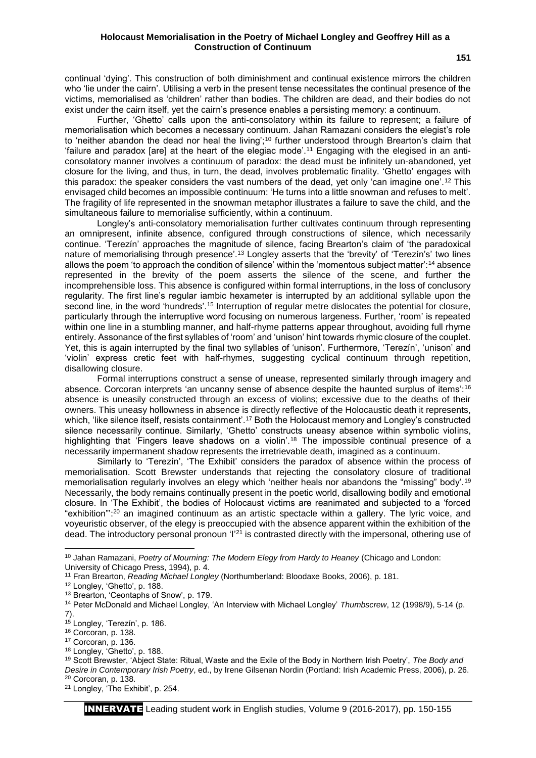continual 'dying'. This construction of both diminishment and continual existence mirrors the children who 'lie under the cairn'. Utilising a verb in the present tense necessitates the continual presence of the victims, memorialised as 'children' rather than bodies. The children are dead, and their bodies do not exist under the cairn itself, yet the cairn's presence enables a persisting memory: a continuum.

Further, 'Ghetto' calls upon the anti-consolatory within its failure to represent; a failure of memorialisation which becomes a necessary continuum. Jahan Ramazani considers the elegist's role to 'neither abandon the dead nor heal the living';<sup>10</sup> further understood through Brearton's claim that 'failure and paradox [are] at the heart of the elegiac mode'.<sup>11</sup> Engaging with the elegised in an anticonsolatory manner involves a continuum of paradox: the dead must be infinitely un-abandoned, yet closure for the living, and thus, in turn, the dead, involves problematic finality. 'Ghetto' engages with this paradox: the speaker considers the vast numbers of the dead, yet only 'can imagine one'.<sup>12</sup> This envisaged child becomes an impossible continuum: 'He turns into a little snowman and refuses to melt'. The fragility of life represented in the snowman metaphor illustrates a failure to save the child, and the simultaneous failure to memorialise sufficiently, within a continuum.

Longley's anti-consolatory memorialisation further cultivates continuum through representing an omnipresent, infinite absence, configured through constructions of silence, which necessarily continue. 'Terezín' approaches the magnitude of silence, facing Brearton's claim of 'the paradoxical nature of memorialising through presence'.<sup>13</sup> Longley asserts that the 'brevity' of 'Terezín's' two lines allows the poem 'to approach the condition of silence' within the 'momentous subject matter':<sup>14</sup> absence represented in the brevity of the poem asserts the silence of the scene, and further the incomprehensible loss. This absence is configured within formal interruptions, in the loss of conclusory regularity. The first line's regular iambic hexameter is interrupted by an additional syllable upon the second line, in the word 'hundreds'.<sup>15</sup> Interruption of regular metre dislocates the potential for closure, particularly through the interruptive word focusing on numerous largeness. Further, 'room' is repeated within one line in a stumbling manner, and half-rhyme patterns appear throughout, avoiding full rhyme entirely. Assonance of the first syllables of 'room' and 'unison' hint towards rhymic closure of the couplet. Yet, this is again interrupted by the final two syllables of 'unison'. Furthermore, 'Terezín', 'unison' and 'violin' express cretic feet with half-rhymes, suggesting cyclical continuum through repetition, disallowing closure.

Formal interruptions construct a sense of unease, represented similarly through imagery and absence. Corcoran interprets 'an uncanny sense of absence despite the haunted surplus of items':<sup>16</sup> absence is uneasily constructed through an excess of violins; excessive due to the deaths of their owners. This uneasy hollowness in absence is directly reflective of the Holocaustic death it represents, which, 'like silence itself, resists containment'.<sup>17</sup> Both the Holocaust memory and Longley's constructed silence necessarily continue. Similarly, 'Ghetto' constructs uneasy absence within symbolic violins, highlighting that 'Fingers leave shadows on a violin'.<sup>18</sup> The impossible continual presence of a necessarily impermanent shadow represents the irretrievable death, imagined as a continuum.

Similarly to 'Terezín', 'The Exhibit' considers the paradox of absence within the process of memorialisation. Scott Brewster understands that rejecting the consolatory closure of traditional memorialisation regularly involves an elegy which 'neither heals nor abandons the "missing" body'.<sup>19</sup> Necessarily, the body remains continually present in the poetic world, disallowing bodily and emotional closure. In 'The Exhibit', the bodies of Holocaust victims are reanimated and subjected to a 'forced "exhibition"':<sup>20</sup> an imagined continuum as an artistic spectacle within a gallery. The lyric voice, and voyeuristic observer, of the elegy is preoccupied with the absence apparent within the exhibition of the dead. The introductory personal pronoun 'I'<sup>21</sup> is contrasted directly with the impersonal, othering use of

1

<sup>10</sup> Jahan Ramazani, *Poetry of Mourning: The Modern Elegy from Hardy to Heaney* (Chicago and London: University of Chicago Press, 1994), p. 4.

<sup>11</sup> Fran Brearton, *Reading Michael Longley* (Northumberland: Bloodaxe Books, 2006), p. 181.

<sup>12</sup> Longley, 'Ghetto', p. 188.

<sup>13</sup> Brearton, 'Ceontaphs of Snow', p. 179.

<sup>14</sup> Peter McDonald and Michael Longley, 'An Interview with Michael Longley' *Thumbscrew*, 12 (1998/9), 5-14 (p. 7).

<sup>15</sup> Longley, 'Terezín', p. 186.

<sup>16</sup> Corcoran, p. 138.

<sup>17</sup> Corcoran, p. 136.

<sup>18</sup> Longley, 'Ghetto', p. 188.

<sup>19</sup> Scott Brewster, 'Abject State: Ritual, Waste and the Exile of the Body in Northern Irish Poetry', *The Body and Desire in Contemporary Irish Poetry*, ed., by Irene Gilsenan Nordin (Portland: Irish Academic Press, 2006), p. 26. <sup>20</sup> Corcoran, p. 138.

<sup>21</sup> Longley, 'The Exhibit', p. 254.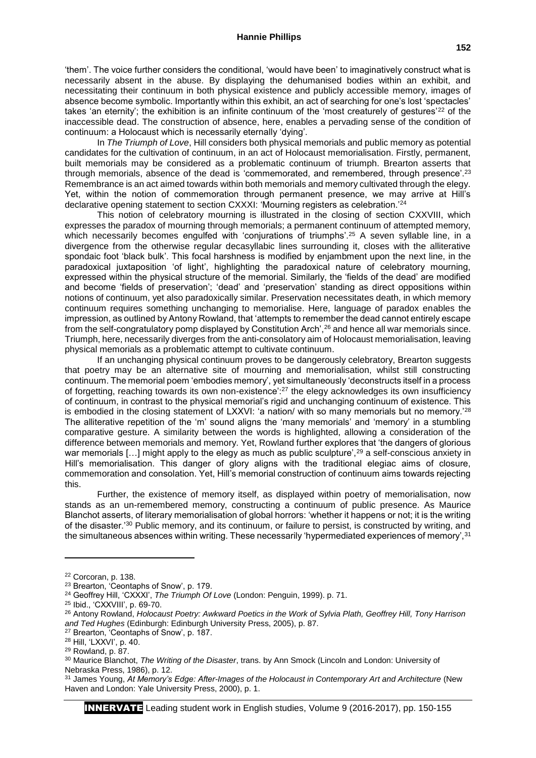'them'. The voice further considers the conditional, 'would have been' to imaginatively construct what is necessarily absent in the abuse. By displaying the dehumanised bodies within an exhibit, and necessitating their continuum in both physical existence and publicly accessible memory, images of absence become symbolic. Importantly within this exhibit, an act of searching for one's lost 'spectacles' takes 'an eternity'; the exhibition is an infinite continuum of the 'most creaturely of gestures'<sup>22</sup> of the inaccessible dead. The construction of absence, here, enables a pervading sense of the condition of continuum: a Holocaust which is necessarily eternally 'dying'.

In *The Triumph of Love*, Hill considers both physical memorials and public memory as potential candidates for the cultivation of continuum, in an act of Holocaust memorialisation. Firstly, permanent, built memorials may be considered as a problematic continuum of triumph. Brearton asserts that through memorials, absence of the dead is 'commemorated, and remembered, through presence'.<sup>23</sup> Remembrance is an act aimed towards within both memorials and memory cultivated through the elegy. Yet, within the notion of commemoration through permanent presence, we may arrive at Hill's declarative opening statement to section CXXXI: 'Mourning registers as celebration.'<sup>24</sup>

This notion of celebratory mourning is illustrated in the closing of section CXXVIII, which expresses the paradox of mourning through memorials; a permanent continuum of attempted memory, which necessarily becomes engulfed with 'conjurations of triumphs'.<sup>25</sup> A seven syllable line, in a divergence from the otherwise regular decasyllabic lines surrounding it, closes with the alliterative spondaic foot 'black bulk'. This focal harshness is modified by enjambment upon the next line, in the paradoxical juxtaposition 'of light', highlighting the paradoxical nature of celebratory mourning, expressed within the physical structure of the memorial. Similarly, the 'fields of the dead' are modified and become 'fields of preservation'; 'dead' and 'preservation' standing as direct oppositions within notions of continuum, yet also paradoxically similar. Preservation necessitates death, in which memory continuum requires something unchanging to memorialise. Here, language of paradox enables the impression, as outlined by Antony Rowland, that 'attempts to remember the dead cannot entirely escape from the self-congratulatory pomp displayed by Constitution Arch',<sup>26</sup> and hence all war memorials since. Triumph, here, necessarily diverges from the anti-consolatory aim of Holocaust memorialisation, leaving physical memorials as a problematic attempt to cultivate continuum.

If an unchanging physical continuum proves to be dangerously celebratory, Brearton suggests that poetry may be an alternative site of mourning and memorialisation, whilst still constructing continuum. The memorial poem 'embodies memory', yet simultaneously 'deconstructs itself in a process of forgetting, reaching towards its own non-existence':<sup>27</sup> the elegy acknowledges its own insufficiency of continuum, in contrast to the physical memorial's rigid and unchanging continuum of existence. This is embodied in the closing statement of LXXVI: 'a nation/ with so many memorials but no memory.<sup>'28</sup> The alliterative repetition of the 'm' sound aligns the 'many memorials' and 'memory' in a stumbling comparative gesture. A similarity between the words is highlighted, allowing a consideration of the difference between memorials and memory. Yet, Rowland further explores that 'the dangers of glorious war memorials [...] might apply to the elegy as much as public sculpture',<sup>29</sup> a self-conscious anxiety in Hill's memorialisation. This danger of glory aligns with the traditional elegiac aims of closure, commemoration and consolation. Yet, Hill's memorial construction of continuum aims towards rejecting this.

Further, the existence of memory itself, as displayed within poetry of memorialisation, now stands as an un-remembered memory, constructing a continuum of public presence. As Maurice Blanchot asserts, of literary memorialisation of global horrors: 'whether it happens or not; it is the writing of the disaster.'<sup>30</sup> Public memory, and its continuum, or failure to persist, is constructed by writing, and the simultaneous absences within writing. These necessarily 'hypermediated experiences of memory', 31

**.** 

<sup>22</sup> Corcoran, p. 138.

<sup>23</sup> Brearton, 'Ceontaphs of Snow', p. 179.

<sup>24</sup> Geoffrey Hill, 'CXXXI', *The Triumph Of Love* (London: Penguin, 1999). p. 71.

<sup>25</sup> Ibid., 'CXXVIII', p. 69-70.

<sup>26</sup> Antony Rowland, *Holocaust Poetry: Awkward Poetics in the Work of Sylvia Plath, Geoffrey Hill, Tony Harrison and Ted Hughes* (Edinburgh: Edinburgh University Press, 2005), p. 87.

<sup>27</sup> Brearton, 'Ceontaphs of Snow', p. 187.

<sup>28</sup> Hill, 'LXXVI', p. 40.

<sup>29</sup> Rowland, p. 87.

<sup>30</sup> Maurice Blanchot, *The Writing of the Disaster*, trans. by Ann Smock (Lincoln and London: University of Nebraska Press, 1986), p. 12.

<sup>31</sup> James Young, *At Memory's Edge: After-Images of the Holocaust in Contemporary Art and Architecture* (New Haven and London: Yale University Press, 2000), p. 1.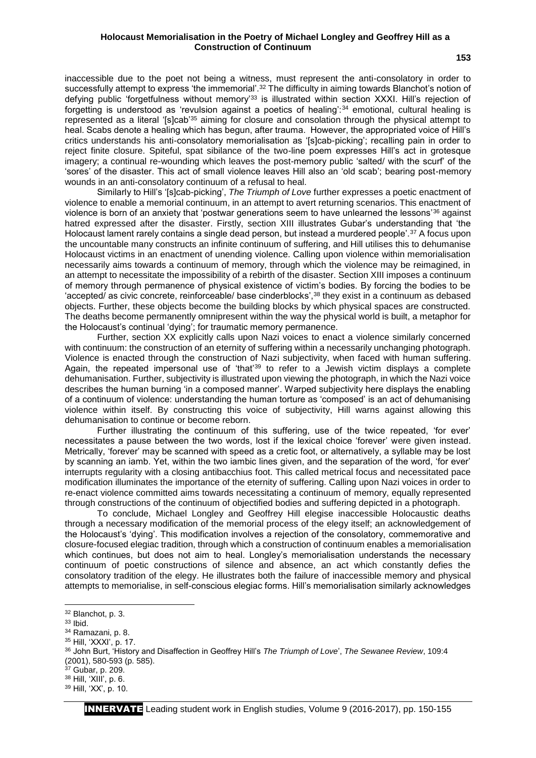#### **Holocaust Memorialisation in the Poetry of Michael Longley and Geoffrey Hill as a Construction of Continuum**

inaccessible due to the poet not being a witness, must represent the anti-consolatory in order to successfully attempt to express 'the immemorial'.<sup>32</sup> The difficulty in aiming towards Blanchot's notion of defying public 'forgetfulness without memory'<sup>33</sup> is illustrated within section XXXI. Hill's rejection of forgetting is understood as 'revulsion against a poetics of healing':<sup>34</sup> emotional, cultural healing is represented as a literal '[s]cab'<sup>35</sup> aiming for closure and consolation through the physical attempt to heal. Scabs denote a healing which has begun, after trauma. However, the appropriated voice of Hill's critics understands his anti-consolatory memorialisation as '[s]cab-picking'; recalling pain in order to reject finite closure. Spiteful, spat sibilance of the two-line poem expresses Hill's act in grotesque imagery; a continual re-wounding which leaves the post-memory public 'salted/ with the scurf' of the 'sores' of the disaster. This act of small violence leaves Hill also an 'old scab'; bearing post-memory wounds in an anti-consolatory continuum of a refusal to heal.

Similarly to Hill's '[s]cab-picking', *The Triumph of Love* further expresses a poetic enactment of violence to enable a memorial continuum, in an attempt to avert returning scenarios. This enactment of violence is born of an anxiety that 'postwar generations seem to have unlearned the lessons<sup>'36</sup> against hatred expressed after the disaster. Firstly, section XIII illustrates Gubar's understanding that 'the Holocaust lament rarely contains a single dead person, but instead a murdered people'.<sup>37</sup> A focus upon the uncountable many constructs an infinite continuum of suffering, and Hill utilises this to dehumanise Holocaust victims in an enactment of unending violence. Calling upon violence within memorialisation necessarily aims towards a continuum of memory, through which the violence may be reimagined, in an attempt to necessitate the impossibility of a rebirth of the disaster. Section XIII imposes a continuum of memory through permanence of physical existence of victim's bodies. By forcing the bodies to be 'accepted/ as civic concrete, reinforceable/ base cinderblocks',<sup>38</sup> they exist in a continuum as debased objects. Further, these objects become the building blocks by which physical spaces are constructed. The deaths become permanently omnipresent within the way the physical world is built, a metaphor for the Holocaust's continual 'dying'; for traumatic memory permanence.

Further, section XX explicitly calls upon Nazi voices to enact a violence similarly concerned with continuum: the construction of an eternity of suffering within a necessarily unchanging photograph. Violence is enacted through the construction of Nazi subjectivity, when faced with human suffering. Again, the repeated impersonal use of 'that'<sup>39</sup> to refer to a Jewish victim displays a complete dehumanisation. Further, subjectivity is illustrated upon viewing the photograph, in which the Nazi voice describes the human burning 'in a composed manner'. Warped subjectivity here displays the enabling of a continuum of violence: understanding the human torture as 'composed' is an act of dehumanising violence within itself. By constructing this voice of subjectivity, Hill warns against allowing this dehumanisation to continue or become reborn.

Further illustrating the continuum of this suffering, use of the twice repeated, 'for ever' necessitates a pause between the two words, lost if the lexical choice 'forever' were given instead. Metrically, 'forever' may be scanned with speed as a cretic foot, or alternatively, a syllable may be lost by scanning an iamb. Yet, within the two iambic lines given, and the separation of the word, 'for ever' interrupts regularity with a closing antibacchius foot. This called metrical focus and necessitated pace modification illuminates the importance of the eternity of suffering. Calling upon Nazi voices in order to re-enact violence committed aims towards necessitating a continuum of memory, equally represented through constructions of the continuum of objectified bodies and suffering depicted in a photograph.

To conclude, Michael Longley and Geoffrey Hill elegise inaccessible Holocaustic deaths through a necessary modification of the memorial process of the elegy itself; an acknowledgement of the Holocaust's 'dying'. This modification involves a rejection of the consolatory, commemorative and closure-focused elegiac tradition, through which a construction of continuum enables a memorialisation which continues, but does not aim to heal. Longley's memorialisation understands the necessary continuum of poetic constructions of silence and absence, an act which constantly defies the consolatory tradition of the elegy. He illustrates both the failure of inaccessible memory and physical attempts to memorialise, in self-conscious elegiac forms. Hill's memorialisation similarly acknowledges

**.** 

<sup>35</sup> Hill, 'XXXI', p. 17.

 $37$  Gubar, p. 209.

<sup>32</sup> Blanchot, p. 3.

<sup>33</sup> Ibid.

<sup>34</sup> Ramazani, p. 8.

<sup>36</sup> John Burt, 'History and Disaffection in Geoffrey Hill's *The Triumph of Love*', *The Sewanee Review*, 109:4 (2001), 580-593 (p. 585).

<sup>38</sup> Hill, 'XIII', p. 6.

<sup>39</sup> Hill, 'XX', p. 10.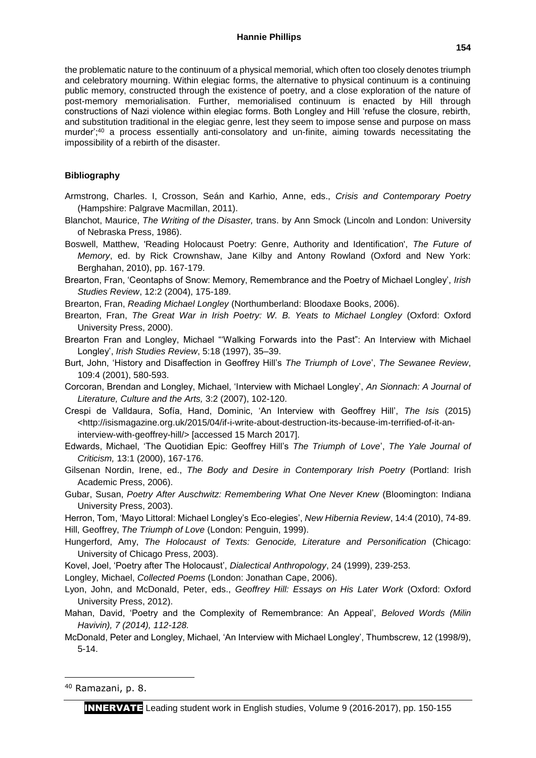the problematic nature to the continuum of a physical memorial, which often too closely denotes triumph and celebratory mourning. Within elegiac forms, the alternative to physical continuum is a continuing public memory, constructed through the existence of poetry, and a close exploration of the nature of post-memory memorialisation. Further, memorialised continuum is enacted by Hill through constructions of Nazi violence within elegiac forms. Both Longley and Hill 'refuse the closure, rebirth, and substitution traditional in the elegiac genre, lest they seem to impose sense and purpose on mass murder';<sup>40</sup> a process essentially anti-consolatory and un-finite, aiming towards necessitating the impossibility of a rebirth of the disaster.

### **Bibliography**

- Armstrong, Charles. I, Crosson, Seán and Karhio, Anne, eds., *Crisis and Contemporary Poetry* (Hampshire: Palgrave Macmillan, 2011).
- Blanchot, Maurice, *The Writing of the Disaster,* trans. by Ann Smock (Lincoln and London: University of Nebraska Press, 1986).
- Boswell, Matthew, 'Reading Holocaust Poetry: Genre, Authority and Identification', *The Future of Memory*, ed. by Rick Crownshaw, Jane Kilby and Antony Rowland (Oxford and New York: Berghahan, 2010), pp. 167-179.
- Brearton, Fran, 'Ceontaphs of Snow: Memory, Remembrance and the Poetry of Michael Longley', *Irish Studies Review*, 12:2 (2004), 175-189.
- Brearton, Fran, *Reading Michael Longley* (Northumberland: Bloodaxe Books, 2006).
- Brearton, Fran, *The Great War in Irish Poetry: W. B. Yeats to Michael Longley* (Oxford: Oxford University Press, 2000).
- Brearton Fran and Longley, Michael "'Walking Forwards into the Past": An Interview with Michael Longley', *Irish Studies Review*, 5:18 (1997), 35–39.
- Burt, John, 'History and Disaffection in Geoffrey Hill's *The Triumph of Love*', *The Sewanee Review*, 109:4 (2001), 580-593.
- Corcoran, Brendan and Longley, Michael, 'Interview with Michael Longley', *An Sionnach: A Journal of Literature, Culture and the Arts,* 3:2 (2007), 102-120.
- Crespi de Valldaura, Sofía, Hand, Dominic, 'An Interview with Geoffrey Hill', *The Isis* (2015) <http://isismagazine.org.uk/2015/04/if-i-write-about-destruction-its-because-im-terrified-of-it-aninterview-with-geoffrey-hill/> [accessed 15 March 2017].
- Edwards, Michael, 'The Quotidian Epic: Geoffrey Hill's *The Triumph of Love*', *The Yale Journal of Criticism,* 13:1 (2000), 167-176.
- Gilsenan Nordin, Irene, ed., *The Body and Desire in Contemporary Irish Poetry* (Portland: Irish Academic Press, 2006).
- Gubar, Susan, *Poetry After Auschwitz: Remembering What One Never Knew* (Bloomington: Indiana University Press, 2003).
- Herron, Tom, 'Mayo Littoral: Michael Longley's Eco-elegies', *New Hibernia Review*, 14:4 (2010), 74-89. Hill, Geoffrey, *The Triumph of Love* (London: Penguin, 1999).
- Hungerford, Amy, *The Holocaust of Texts: Genocide, Literature and Personification* (Chicago: University of Chicago Press, 2003).
- Kovel, Joel, 'Poetry after The Holocaust', *Dialectical Anthropology*, 24 (1999), 239-253.

Longley, Michael, *Collected Poems* (London: Jonathan Cape, 2006).

- Lyon, John, and McDonald, Peter, eds., *Geoffrey Hill: Essays on His Later Work* (Oxford: Oxford University Press, 2012).
- Mahan, David, 'Poetry and the Complexity of Remembrance: An Appeal', *Beloved Words (Milin Havivin), 7 (2014), 112-128.*
- McDonald, Peter and Longley, Michael, 'An Interview with Michael Longley', Thumbscrew, 12 (1998/9), 5-14.

**.** 

<sup>40</sup> Ramazani, p. 8.